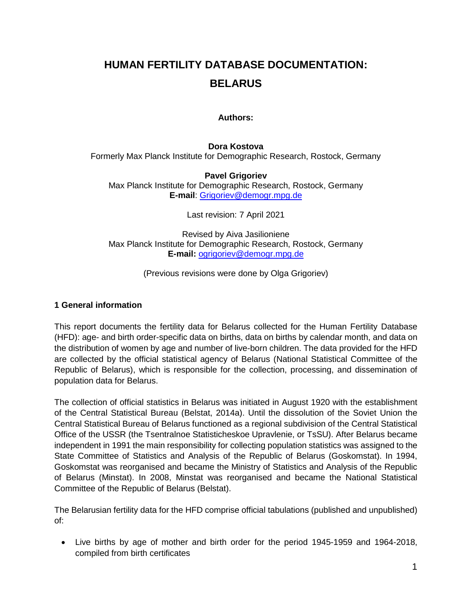# **HUMAN FERTILITY DATABASE DOCUMENTATION: BELARUS**

### **Authors:**

#### **Dora Kostova**

Formerly Max Planck Institute for Demographic Research, Rostock, Germany

#### **Pavel Grigoriev**

Max Planck Institute for Demographic Research, Rostock, Germany **E-mail**: [Grigoriev@demogr.mpg.de](mailto:Grigoriev@demogr.mpg.de)

Last revision: 7 April 2021

Revised by Aiva Jasilioniene Max Planck Institute for Demographic Research, Rostock, Germany **E-mail:** [ogrigoriev@demogr.mpg.de](mailto:ogrigoriev@demogr.mpg.de)

(Previous revisions were done by Olga Grigoriev)

#### **1 General information**

This report documents the fertility data for Belarus collected for the Human Fertility Database (HFD): age- and birth order-specific data on births, data on births by calendar month, and data on the distribution of women by age and number of live-born children. The data provided for the HFD are collected by the official statistical agency of Belarus (National Statistical Committee of the Republic of Belarus), which is responsible for the collection, processing, and dissemination of population data for Belarus.

The collection of official statistics in Belarus was initiated in August 1920 with the establishment of the Central Statistical Bureau (Belstat, 2014a). Until the dissolution of the Soviet Union the Central Statistical Bureau of Belarus functioned as a regional subdivision of the Central Statistical Office of the USSR (the Tsentralnoe Statisticheskoe Upravlenie, or TsSU). After Belarus became independent in 1991 the main responsibility for collecting population statistics was assigned to the State Committee of Statistics and Analysis of the Republic of Belarus (Goskomstat). In 1994, Goskomstat was reorganised and became the Ministry of Statistics and Analysis of the Republic of Belarus (Minstat). In 2008, Minstat was reorganised and became the National Statistical Committee of the Republic of Belarus (Belstat).

The Belarusian fertility data for the HFD comprise official tabulations (published and unpublished) of:

Live births by age of mother and birth order for the period 1945-1959 and 1964-2018, compiled from birth certificates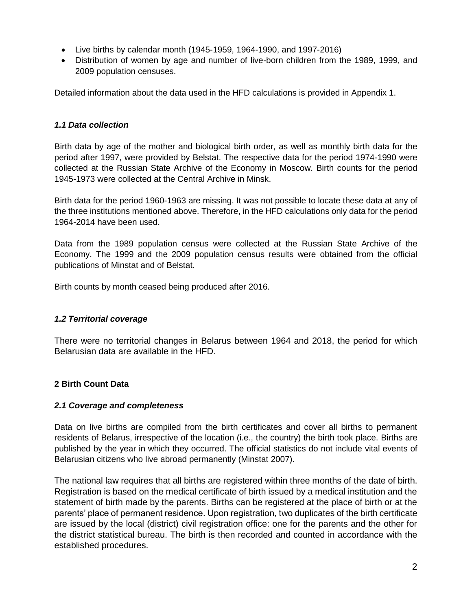- Live births by calendar month (1945-1959, 1964-1990, and 1997-2016)
- Distribution of women by age and number of live-born children from the 1989, 1999, and 2009 population censuses.

Detailed information about the data used in the HFD calculations is provided in Appendix 1.

# *1.1 Data collection*

Birth data by age of the mother and biological birth order, as well as monthly birth data for the period after 1997, were provided by Belstat. The respective data for the period 1974-1990 were collected at the Russian State Archive of the Economy in Moscow. Birth counts for the period 1945-1973 were collected at the Central Archive in Minsk.

Birth data for the period 1960-1963 are missing. It was not possible to locate these data at any of the three institutions mentioned above. Therefore, in the HFD calculations only data for the period 1964-2014 have been used.

Data from the 1989 population census were collected at the Russian State Archive of the Economy. The 1999 and the 2009 population census results were obtained from the official publications of Minstat and of Belstat.

Birth counts by month ceased being produced after 2016.

# *1.2 Territorial coverage*

There were no territorial changes in Belarus between 1964 and 2018, the period for which Belarusian data are available in the HFD.

# **2 Birth Count Data**

### *2.1 Coverage and completeness*

Data on live births are compiled from the birth certificates and cover all births to permanent residents of Belarus, irrespective of the location (i.e., the country) the birth took place. Births are published by the year in which they occurred. The official statistics do not include vital events of Belarusian citizens who live abroad permanently (Minstat 2007).

The national law requires that all births are registered within three months of the date of birth. Registration is based on the medical certificate of birth issued by a medical institution and the statement of birth made by the parents. Births can be registered at the place of birth or at the parents' place of permanent residence. Upon registration, two duplicates of the birth certificate are issued by the local (district) civil registration office: one for the parents and the other for the district statistical bureau. The birth is then recorded and counted in accordance with the established procedures.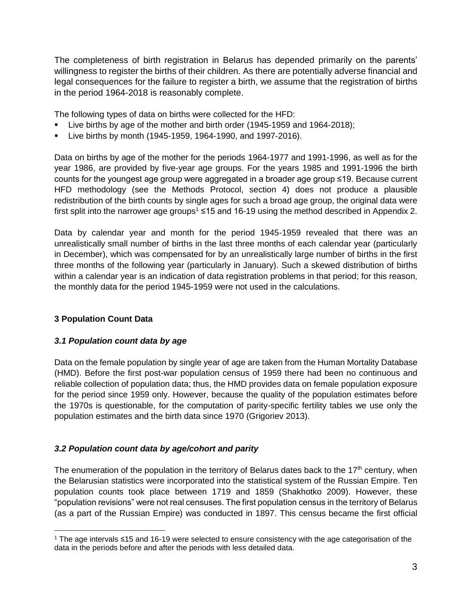The completeness of birth registration in Belarus has depended primarily on the parents' willingness to register the births of their children. As there are potentially adverse financial and legal consequences for the failure to register a birth, we assume that the registration of births in the period 1964-2018 is reasonably complete.

The following types of data on births were collected for the HFD:

- Live births by age of the mother and birth order (1945-1959 and 1964-2018);
- Live births by month (1945-1959, 1964-1990, and 1997-2016).

Data on births by age of the mother for the periods 1964-1977 and 1991-1996, as well as for the year 1986, are provided by five-year age groups. For the years 1985 and 1991-1996 the birth counts for the youngest age group were aggregated in a broader age group ≤19. Because current HFD methodology (see the Methods Protocol, section 4) does not produce a plausible redistribution of the birth counts by single ages for such a broad age group, the original data were first split into the narrower age groups<sup>1</sup> ≤15 and 16-19 using the method described in Appendix 2.

Data by calendar year and month for the period 1945-1959 revealed that there was an unrealistically small number of births in the last three months of each calendar year (particularly in December), which was compensated for by an unrealistically large number of births in the first three months of the following year (particularly in January). Such a skewed distribution of births within a calendar year is an indication of data registration problems in that period; for this reason, the monthly data for the period 1945-1959 were not used in the calculations.

# **3 Population Count Data**

### *3.1 Population count data by age*

Data on the female population by single year of age are taken from the Human Mortality Database (HMD). Before the first post-war population census of 1959 there had been no continuous and reliable collection of population data; thus, the HMD provides data on female population exposure for the period since 1959 only. However, because the quality of the population estimates before the 1970s is questionable, for the computation of parity-specific fertility tables we use only the population estimates and the birth data since 1970 (Grigoriev 2013).

# *3.2 Population count data by age/cohort and parity*

The enumeration of the population in the territory of Belarus dates back to the  $17<sup>th</sup>$  century, when the Belarusian statistics were incorporated into the statistical system of the Russian Empire. Ten population counts took place between 1719 and 1859 (Shakhotko 2009). However, these "population revisions" were not real censuses. The first population census in the territory of Belarus (as a part of the Russian Empire) was conducted in 1897. This census became the first official

l <sup>1</sup> The age intervals ≤15 and 16-19 were selected to ensure consistency with the age categorisation of the data in the periods before and after the periods with less detailed data.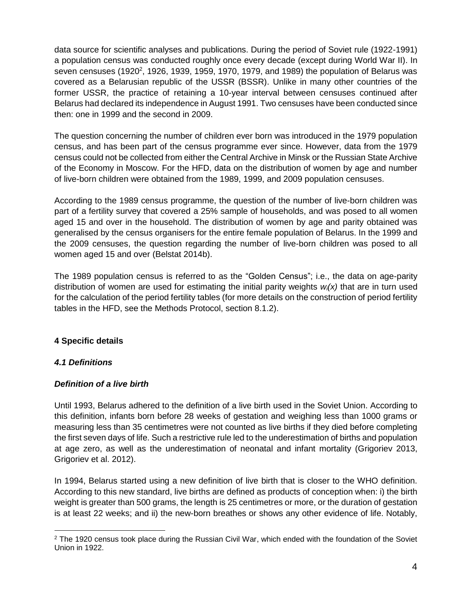data source for scientific analyses and publications. During the period of Soviet rule (1922-1991) a population census was conducted roughly once every decade (except during World War II). In seven censuses (1920<sup>2</sup>, 1926, 1939, 1959, 1970, 1979, and 1989) the population of Belarus was covered as a Belarusian republic of the USSR (BSSR). Unlike in many other countries of the former USSR, the practice of retaining a 10-year interval between censuses continued after Belarus had declared its independence in August 1991. Two censuses have been conducted since then: one in 1999 and the second in 2009.

The question concerning the number of children ever born was introduced in the 1979 population census, and has been part of the census programme ever since. However, data from the 1979 census could not be collected from either the Central Archive in Minsk or the Russian State Archive of the Economy in Moscow. For the HFD, data on the distribution of women by age and number of live-born children were obtained from the 1989, 1999, and 2009 population censuses.

According to the 1989 census programme, the question of the number of live-born children was part of a fertility survey that covered a 25% sample of households, and was posed to all women aged 15 and over in the household. The distribution of women by age and parity obtained was generalised by the census organisers for the entire female population of Belarus. In the 1999 and the 2009 censuses, the question regarding the number of live-born children was posed to all women aged 15 and over (Belstat 2014b).

The 1989 population census is referred to as the "Golden Census"; i.e., the data on age-parity distribution of women are used for estimating the initial parity weights *wi(x)* that are in turn used for the calculation of the period fertility tables (for more details on the construction of period fertility tables in the HFD, see the Methods Protocol, section 8.1.2).

# **4 Specific details**

# *4.1 Definitions*

# *Definition of a live birth*

Until 1993, Belarus adhered to the definition of a live birth used in the Soviet Union. According to this definition, infants born before 28 weeks of gestation and weighing less than 1000 grams or measuring less than 35 centimetres were not counted as live births if they died before completing the first seven days of life. Such a restrictive rule led to the underestimation of births and population at age zero, as well as the underestimation of neonatal and infant mortality (Grigoriev 2013, Grigoriev et al. 2012).

In 1994, Belarus started using a new definition of live birth that is closer to the WHO definition. According to this new standard, live births are defined as products of conception when: i) the birth weight is greater than 500 grams, the length is 25 centimetres or more, or the duration of gestation is at least 22 weeks; and ii) the new-born breathes or shows any other evidence of life. Notably,

l <sup>2</sup> The 1920 census took place during the Russian Civil War, which ended with the foundation of the Soviet Union in 1922.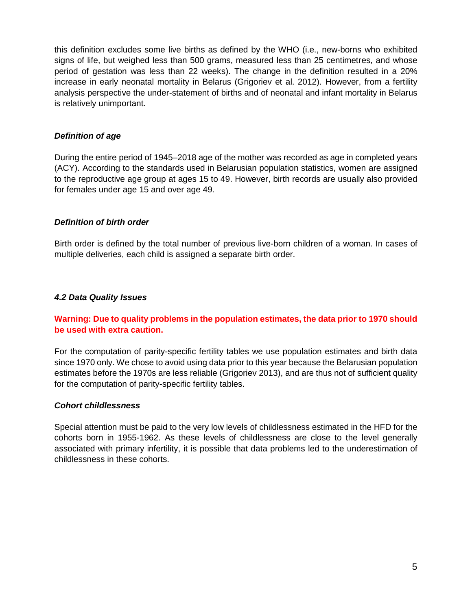this definition excludes some live births as defined by the WHO (i.e., new-borns who exhibited signs of life, but weighed less than 500 grams, measured less than 25 centimetres, and whose period of gestation was less than 22 weeks). The change in the definition resulted in a 20% increase in early neonatal mortality in Belarus (Grigoriev et al. 2012). However, from a fertility analysis perspective the under-statement of births and of neonatal and infant mortality in Belarus is relatively unimportant.

# *Definition of age*

During the entire period of 1945–2018 age of the mother was recorded as age in completed years (ACY). According to the standards used in Belarusian population statistics, women are assigned to the reproductive age group at ages 15 to 49. However, birth records are usually also provided for females under age 15 and over age 49.

# *Definition of birth order*

Birth order is defined by the total number of previous live-born children of a woman. In cases of multiple deliveries, each child is assigned a separate birth order.

# *4.2 Data Quality Issues*

# **Warning: Due to quality problems in the population estimates, the data prior to 1970 should be used with extra caution.**

For the computation of parity-specific fertility tables we use population estimates and birth data since 1970 only. We chose to avoid using data prior to this year because the Belarusian population estimates before the 1970s are less reliable (Grigoriev 2013), and are thus not of sufficient quality for the computation of parity-specific fertility tables.

### *Cohort childlessness*

Special attention must be paid to the very low levels of childlessness estimated in the HFD for the cohorts born in 1955-1962. As these levels of childlessness are close to the level generally associated with primary infertility, it is possible that data problems led to the underestimation of childlessness in these cohorts.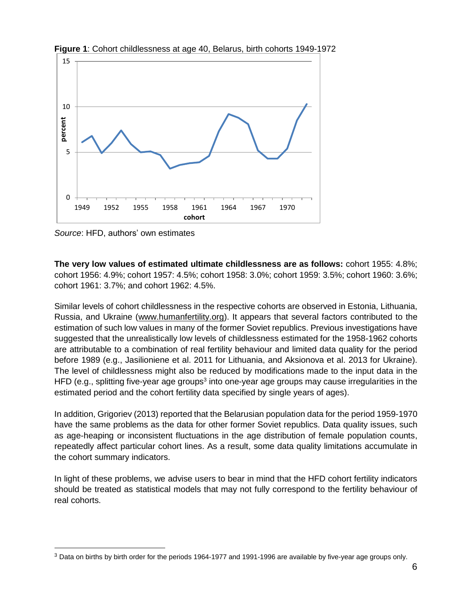

**Figure 1**: Cohort childlessness at age 40, Belarus, birth cohorts 1949-1972

*Source*: HFD, authors' own estimates

l

**The very low values of estimated ultimate childlessness are as follows:** cohort 1955: 4.8%; cohort 1956: 4.9%; cohort 1957: 4.5%; cohort 1958: 3.0%; cohort 1959: 3.5%; cohort 1960: 3.6%; cohort 1961: 3.7%; and cohort 1962: 4.5%.

Similar levels of cohort childlessness in the respective cohorts are observed in Estonia, Lithuania, Russia, and Ukraine [\(www.humanfertility.org\)](http://www.humanfertility.org/). It appears that several factors contributed to the estimation of such low values in many of the former Soviet republics. Previous investigations have suggested that the unrealistically low levels of childlessness estimated for the 1958-1962 cohorts are attributable to a combination of real fertility behaviour and limited data quality for the period before 1989 (e.g., Jasilioniene et al. 2011 for Lithuania, and Aksionova et al. 2013 for Ukraine). The level of childlessness might also be reduced by modifications made to the input data in the HFD (e.g., splitting five-year age groups<sup>3</sup> into one-year age groups may cause irregularities in the estimated period and the cohort fertility data specified by single years of ages).

In addition, Grigoriev (2013) reported that the Belarusian population data for the period 1959-1970 have the same problems as the data for other former Soviet republics. Data quality issues, such as age-heaping or inconsistent fluctuations in the age distribution of female population counts, repeatedly affect particular cohort lines. As a result, some data quality limitations accumulate in the cohort summary indicators.

In light of these problems, we advise users to bear in mind that the HFD cohort fertility indicators should be treated as statistical models that may not fully correspond to the fertility behaviour of real cohorts.

<sup>3</sup> Data on births by birth order for the periods 1964-1977 and 1991-1996 are available by five-year age groups only.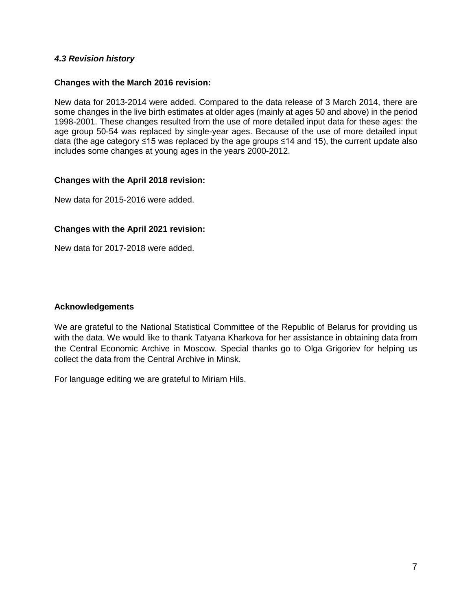## *4.3 Revision history*

#### **Changes with the March 2016 revision:**

New data for 2013-2014 were added. Compared to the data release of 3 March 2014, there are some changes in the live birth estimates at older ages (mainly at ages 50 and above) in the period 1998-2001. These changes resulted from the use of more detailed input data for these ages: the age group 50-54 was replaced by single-year ages. Because of the use of more detailed input data (the age category ≤15 was replaced by the age groups ≤14 and 15), the current update also includes some changes at young ages in the years 2000-2012.

#### **Changes with the April 2018 revision:**

New data for 2015-2016 were added.

### **Changes with the April 2021 revision:**

New data for 2017-2018 were added.

### **Acknowledgements**

We are grateful to the National Statistical Committee of the Republic of Belarus for providing us with the data. We would like to thank Tatyana Kharkova for her assistance in obtaining data from the Central Economic Archive in Moscow. Special thanks go to Olga Grigoriev for helping us collect the data from the Central Archive in Minsk.

For language editing we are grateful to Miriam Hils.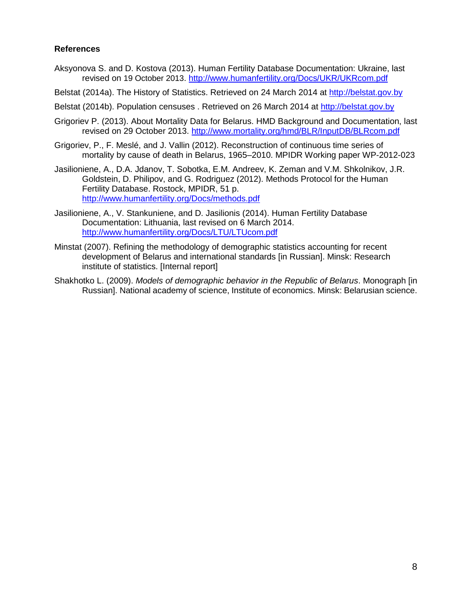### **References**

- Aksyonova S. and D. Kostova (2013). Human Fertility Database Documentation: Ukraine, last revised on 19 October 2013. [http://www.humanfertility.org/Docs/UKR/UKRcom.pdf](http://www.humanfertility.org/Docs/LTU/LTUcom.pdf)
- Belstat (2014a). The History of Statistics. Retrieved on 24 March 2014 at [http://belstat.gov.by](http://belstat.gov.by/)
- Belstat (2014b). Population censuses . Retrieved on 26 March 2014 at [http://belstat.gov.by](http://belstat.gov.by/)
- Grigoriev P. (2013). About Mortality Data for Belarus. HMD Background and Documentation, last revised on 29 October 2013.<http://www.mortality.org/hmd/BLR/InputDB/BLRcom.pdf>
- Grigoriev, P., F. Meslé, and J. Vallin (2012). Reconstruction of continuous time series of mortality by cause of death in Belarus, 1965–2010. MPIDR Working paper WP-2012-023
- Jasilioniene, A., D.A. Jdanov, T. Sobotka, E.M. Andreev, K. Zeman and V.M. Shkolnikov, J.R. Goldstein, D. Philipov, and G. Rodriguez (2012). Methods Protocol for the Human Fertility Database. Rostock, MPIDR, 51 p. [http://www.humanfertility.org/Docs/methods.pdf](http://www-t.humanfertility.org/Docs/LTU/LTUcom.pdf)
- Jasilioniene, A., V. Stankuniene, and D. Jasilionis (2014). Human Fertility Database Documentation: Lithuania, last revised on 6 March 2014. <http://www.humanfertility.org/Docs/LTU/LTUcom.pdf>
- Minstat (2007). Refining the methodology of demographic statistics accounting for recent development of Belarus and international standards [in Russian]. Minsk: Research institute of statistics. [Internal report]
- Shakhotko L. (2009). *Models of demographic behavior in the Republic of Belarus*. Monograph [in Russian]. National academy of science, Institute of economics. Minsk: Belarusian science.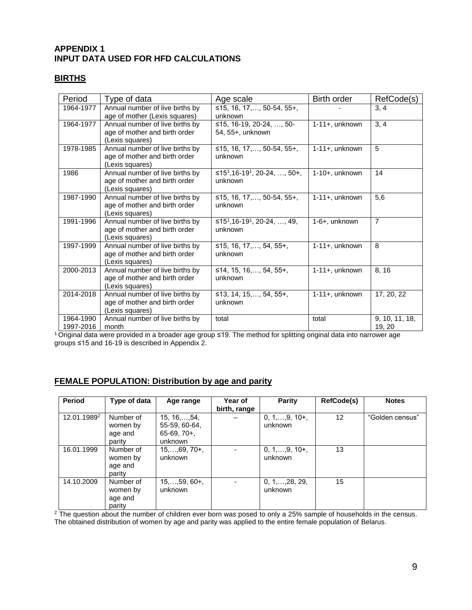# **APPENDIX 1 INPUT DATA USED FOR HFD CALCULATIONS**

#### **BIRTHS**

| Period                 | Type of data                                                                        | Age scale                                                       | Birth order       | RefCode(s)               |
|------------------------|-------------------------------------------------------------------------------------|-----------------------------------------------------------------|-------------------|--------------------------|
| 1964-1977              | Annual number of live births by<br>age of mother (Lexis squares)                    | ≤15, 16, 17, , 50-54, 55+,<br>unknown                           |                   | 3, 4                     |
| 1964-1977              | Annual number of live births by<br>age of mother and birth order<br>(Lexis squares) | ≤15, 16-19, 20-24, , 50-<br>54, 55+, unknown                    | 1-11+, unknown    | 3, 4                     |
| 1978-1985              | Annual number of live births by<br>age of mother and birth order<br>(Lexis squares) | ≤15, 16, 17,, 50-54, 55+,<br>unknown                            | $1-11+$ , unknown | 5                        |
| 1986                   | Annual number of live births by<br>age of mother and birth order<br>(Lexis squares) | ≤15 <sup>1</sup> ,16-19 <sup>1</sup> , 20-24, , 50+,<br>unknown | 1-10+, unknown    | 14                       |
| 1987-1990              | Annual number of live births by<br>age of mother and birth order<br>(Lexis squares) | ≤15, 16, 17,, 50-54, 55+,<br>unknown                            | $1-11+$ , unknown | 5,6                      |
| 1991-1996              | Annual number of live births by<br>age of mother and birth order<br>(Lexis squares) | ≤15 <sup>1</sup> ,16-19 <sup>1</sup> , 20-24, , 49,<br>unknown  | 1-6+, unknown     | $\overline{7}$           |
| 1997-1999              | Annual number of live births by<br>age of mother and birth order<br>(Lexis squares) | ≤15, 16, 17,, 54, 55+,<br>unknown                               | 1-11+, unknown    | 8                        |
| 2000-2013              | Annual number of live births by<br>age of mother and birth order<br>(Lexis squares) | ≤14, 15, 16,, 54, 55+,<br>unknown                               | $1-11+$ , unknown | 8, 16                    |
| 2014-2018              | Annual number of live births by<br>age of mother and birth order<br>(Lexis squares) | ≤13, 14, 15,, 54, 55+,<br>unknown                               | 1-11+, unknown    | 17, 20, 22               |
| 1964-1990<br>1997-2016 | Annual number of live births by<br>month                                            | total                                                           | total             | 9, 10, 11, 18,<br>19, 20 |

<sup>1</sup> Original data were provided in a broader age group ≤19. The method for splitting original data into narrower age groups ≤15 and 16-19 is described in Appendix 2.

#### **FEMALE POPULATION: Distribution by age and parity**

| <b>Period</b>           | Type of data                               | Age range                                                         | Year of<br>birth, range | Parity                             | RefCode(s)      | <b>Notes</b>    |
|-------------------------|--------------------------------------------|-------------------------------------------------------------------|-------------------------|------------------------------------|-----------------|-----------------|
| 12.01.1989 <sup>2</sup> | Number of<br>women by<br>age and<br>parity | $15, 16, \ldots, 54,$<br>55-59, 60-64,<br>$65-69, 70+$<br>unknown |                         | $0, 1, \ldots, 9, 10+,$<br>unknown | 12 <sup>2</sup> | "Golden census" |
| 16.01.1999              | Number of<br>women by<br>age and<br>parity | $15,,69,70+,$<br>unknown                                          |                         | $0, 1, \ldots, 9, 10+,$<br>unknown | 13              |                 |
| 14.10.2009              | Number of<br>women by<br>age and<br>parity | $15, \ldots, 59, 60+,$<br>unknown                                 |                         | $0, 1, \ldots, 28, 29,$<br>unknown | 15              |                 |

 $2$  The question about the number of children ever born was posed to only a 25% sample of households in the census. The obtained distribution of women by age and parity was applied to the entire female population of Belarus.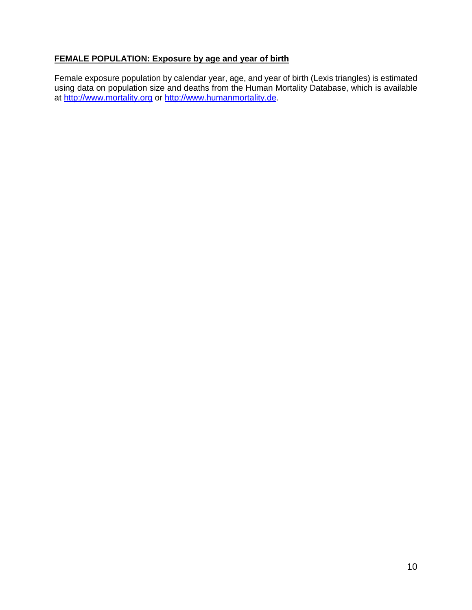# **FEMALE POPULATION: Exposure by age and year of birth**

Female exposure population by calendar year, age, and year of birth (Lexis triangles) is estimated using data on population size and deaths from the Human Mortality Database, which is available at [http://www.mortality.org](http://www.mortality.org/) or [http://www.humanmortality.de.](http://www.humanmortality.de/)